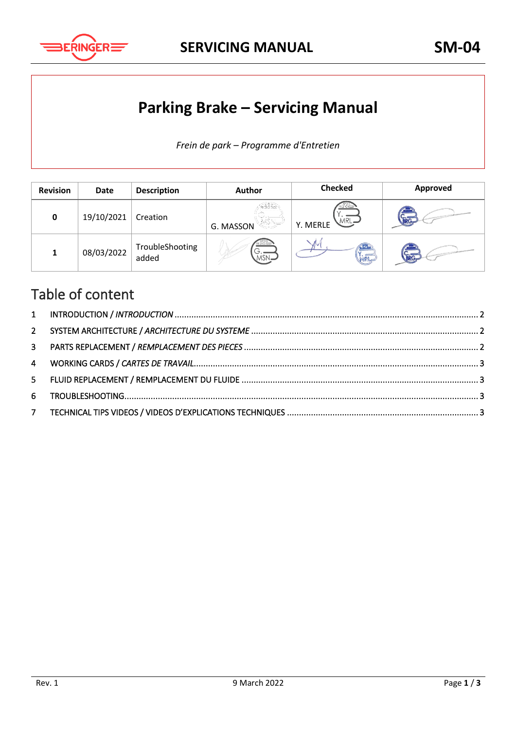

**SERVICING MANUAL SM-04**

## **Parking Brake – Servicing Manual**

*Frein de park – Programme d'Entretien*

| <b>Revision</b> | Date       | <b>Description</b>       | <b>Author</b>              | <b>Checked</b>                | Approved   |
|-----------------|------------|--------------------------|----------------------------|-------------------------------|------------|
| 0               | 19/10/2021 | Creation                 | G. MASSON                  | R 2 G.0220<br>MRL<br>Y. MERLE | <b>BRG</b> |
| $\mathbf{1}$    | 08/03/2022 | TroubleShooting<br>added | FR.21G.0220<br>، ب<br>MSN- | WRL                           | BRG        |

#### Table of content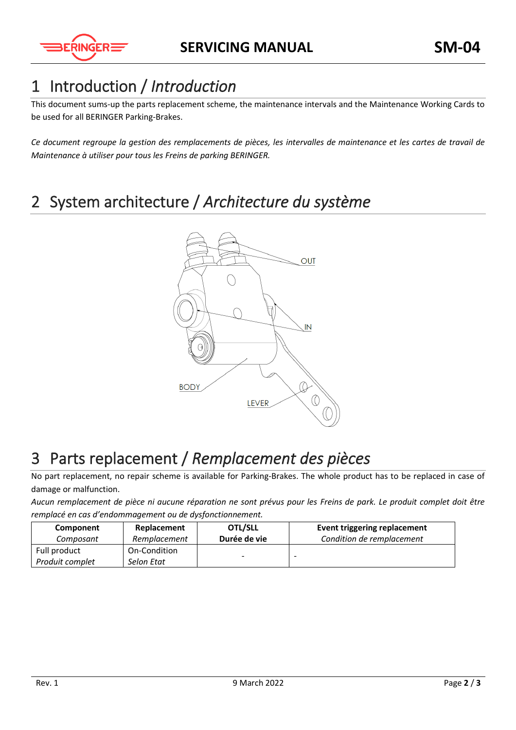

### <span id="page-1-0"></span>1 Introduction / *Introduction*

This document sums-up the parts replacement scheme, the maintenance intervals and the Maintenance Working Cards to be used for all BERINGER Parking-Brakes.

*Ce document regroupe la gestion des remplacements de pièces, les intervalles de maintenance et les cartes de travail de Maintenance à utiliser pour tous les Freins de parking BERINGER.* 

## <span id="page-1-1"></span>2 System architecture / *Architecture du système*



### <span id="page-1-2"></span>3 Parts replacement / *Remplacement des pièces*

No part replacement, no repair scheme is available for Parking-Brakes. The whole product has to be replaced in case of damage or malfunction.

*Aucun remplacement de pièce ni aucune réparation ne sont prévus pour les Freins de park. Le produit complet doit être remplacé en cas d'endommagement ou de dysfonctionnement.*

| Component       | Replacement  | OTL/SLL                  | Event triggering replacement |
|-----------------|--------------|--------------------------|------------------------------|
| Composant       | Remplacement | Durée de vie             | Condition de remplacement    |
| Full product    | On-Condition |                          |                              |
| Produit complet | Selon Etat   | $\overline{\phantom{0}}$ |                              |